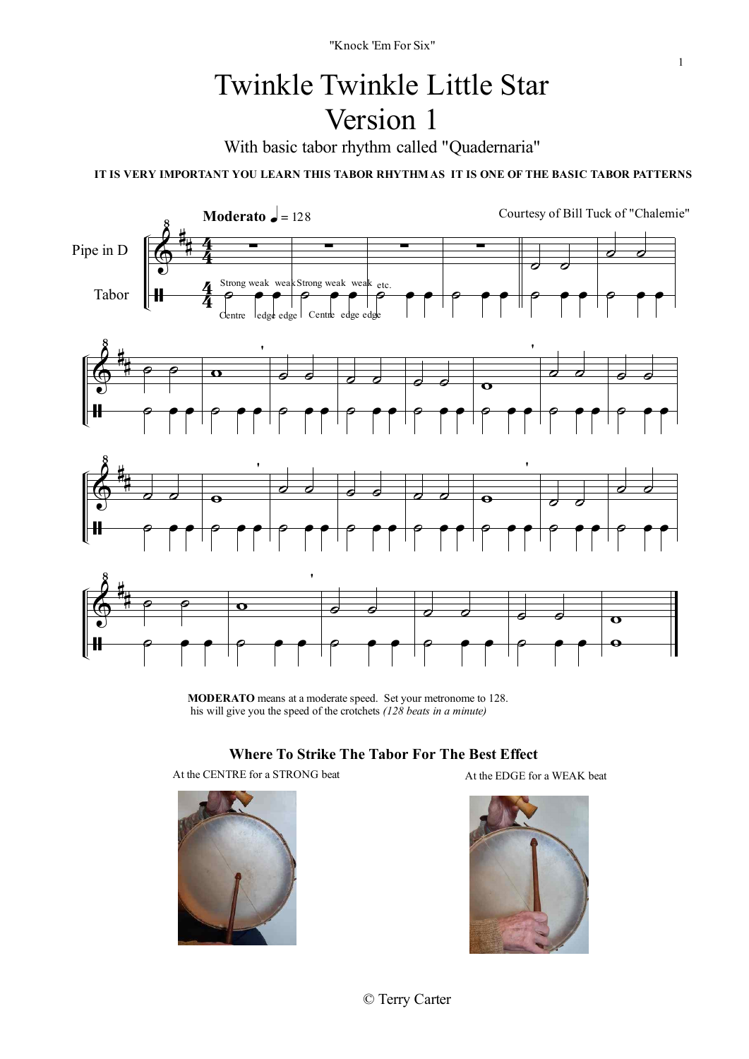### Twinkle Twinkle Little Star Version 1

With basic tabor rhythm called "Quadernaria"

**IT IS VERY IMPORTANT YOU LEARN THIS TABOR RHYTHMAS IT IS ONE OF THE BASIC TABOR PATTERNS**



**MODERATO** means at a moderate speed. Set your metronome to 128. his will give you the speed of the crotchets *(128 beats in a minute)*

#### **Where To Strike The Tabor For The Best Effect**

At the CENTRE for a STRONG beat At the EDGE for a WEAK beat



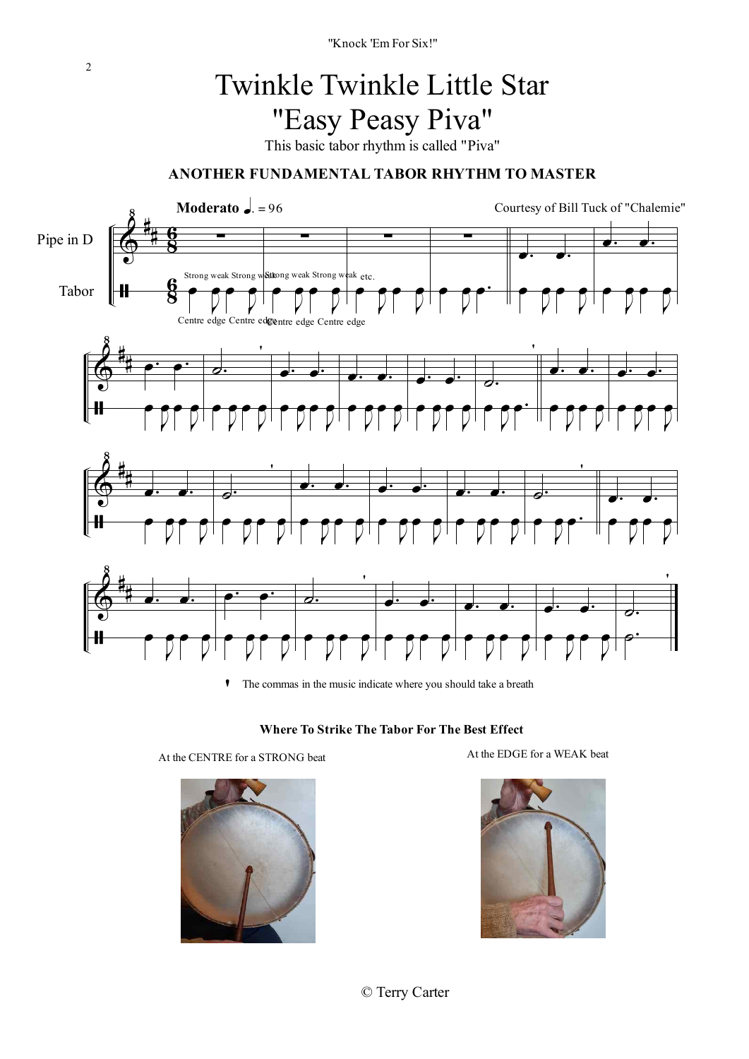# Twinkle Twinkle Little Star "Easy Peasy Piva"

This basic tabor rhythm is called "Piva"

### **ANOTHER FUNDAMENTAL TABOR RHYTHM TO MASTER**



**'**The commas in the music indicate where you should take a breath



At the CENTRE for a STRONG beat At the EDGE for a WEAK beat





© Terry Carter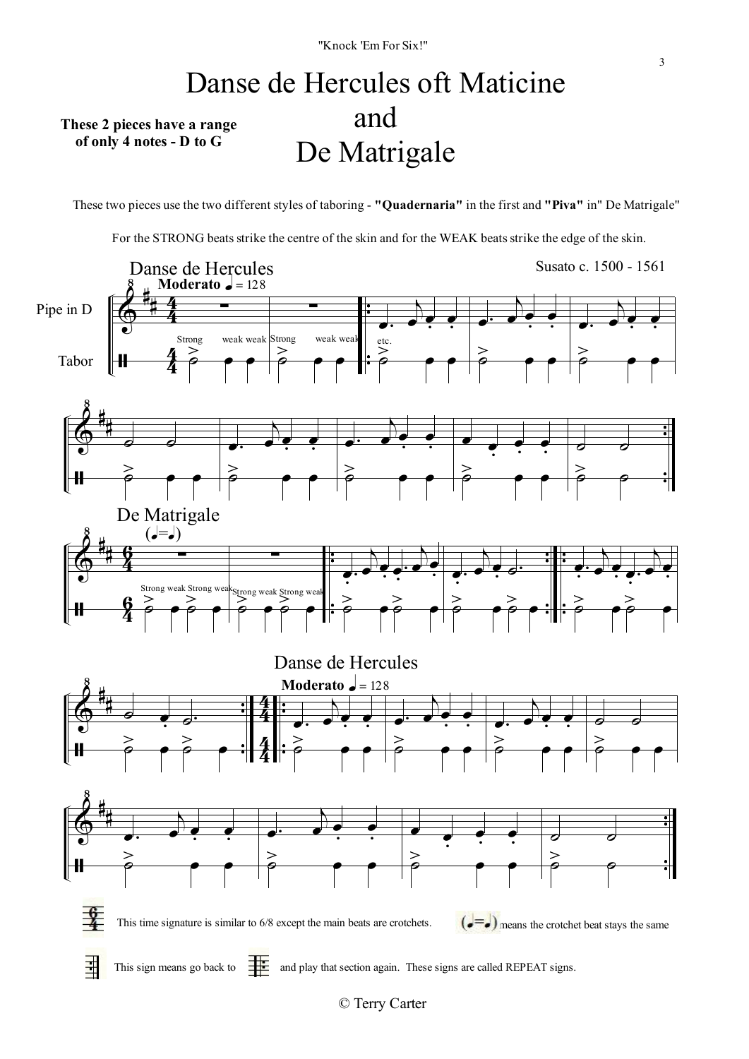### Danse de Hercules oft Maticine and De Matrigale **These 2 pieces have a range of only 4 notes - D to G**

These two pieces use the two different styles of taboring - **"Quadernaria"** in the first and **"Piva"** in" De Matrigale"

For the STRONG beats strike the centre of the skin and for the WEAK beats strike the edge of the skin.



3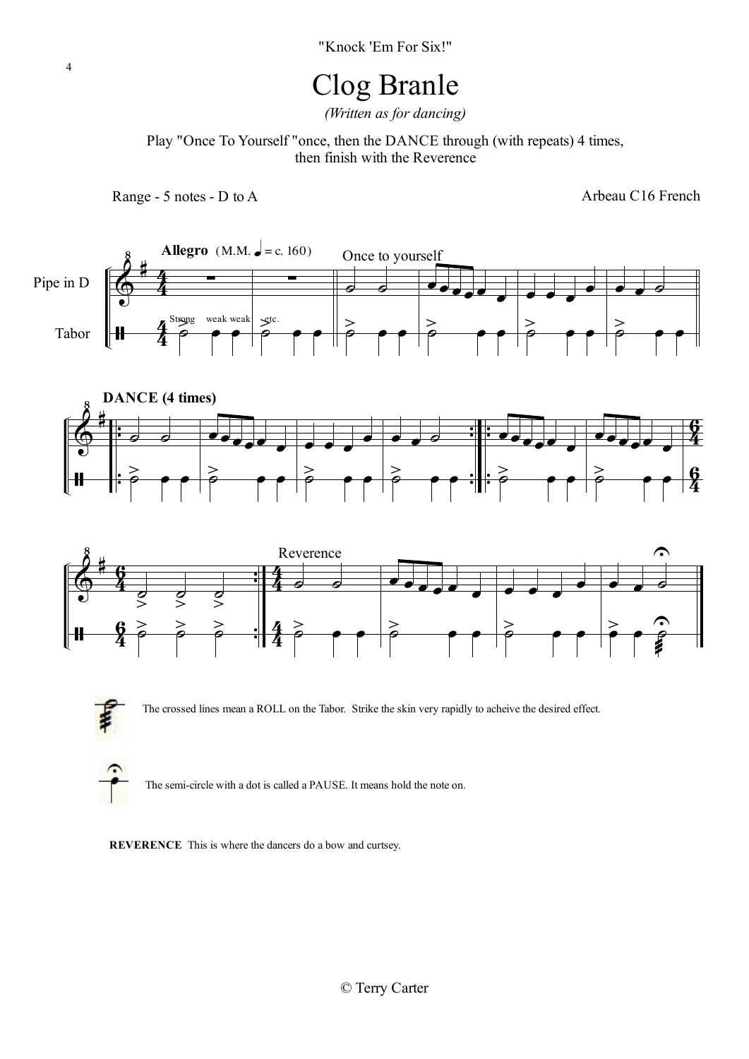# Clog Branle

*(Written as for dancing)*

Play "Once To Yourself "once, then the DANCE through (with repeats) 4 times, then finish with the Reverence

Range - 5 notes - D to A

Arbeau C16 French









The crossed lines mean a ROLL on the Tabor. Strike the skin very rapidly to acheive the desired effect.



The semi-circle with a dot is called a PAUSE. It means hold the note on.

**REVERENCE** This is where the dancers do a bow and curtsey.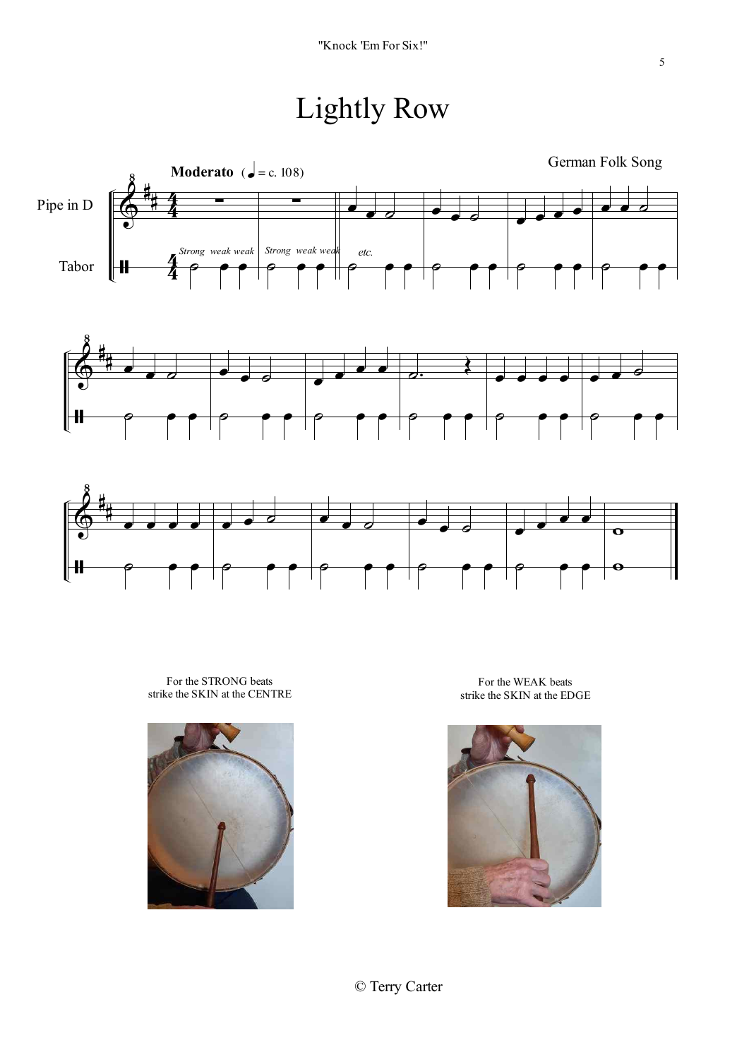# Lightly Row







For the STRONG beats strike the SKIN at the CENTRE



For the WEAK beats strike the SKIN at the EDGE